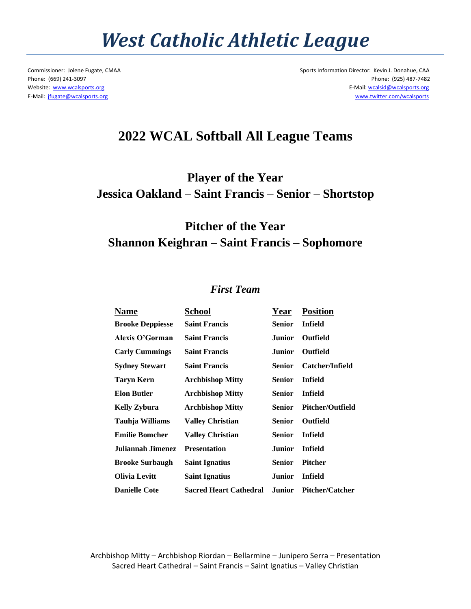## *West Catholic Athletic League*

Commissioner: Jolene Fugate, CMAA Sports Information Director: Kevin J. Donahue, CAA Phone: (669) 241-3097 Phone: (925) 487-7482 Website: [www.wcalsports.org](http://www.wcalsports.org/) E-Mail: wcalsid@wcalsports.org E-Mail: [jfugate@wcalsports.org](mailto:jfugate@wcalsports.org) [www.twitter.com/wcalsports](http://www.twitter.com/wcalsports) 

### **2022 WCAL Softball All League Teams**

**Player of the Year Jessica Oakland – Saint Francis – Senior – Shortstop**

### **Pitcher of the Year Shannon Keighran – Saint Francis – Sophomore**

#### *First Team*

| Name                    | School                        | Year          | <b>Position</b>         |
|-------------------------|-------------------------------|---------------|-------------------------|
| <b>Brooke Deppiesse</b> | <b>Saint Francis</b>          | <b>Senior</b> | Infield                 |
| Alexis O'Gorman         | <b>Saint Francis</b>          | Junior        | Outfield                |
| <b>Carly Cummings</b>   | <b>Saint Francis</b>          | Junior        | <b>Outfield</b>         |
| <b>Sydney Stewart</b>   | <b>Saint Francis</b>          | <b>Senior</b> | Catcher/Infield         |
| <b>Taryn Kern</b>       | <b>Archbishop Mitty</b>       | <b>Senior</b> | Infield                 |
| <b>Elon Butler</b>      | <b>Archbishop Mitty</b>       | <b>Senior</b> | Infield                 |
| <b>Kelly Zybura</b>     | <b>Archbishop Mitty</b>       | Senior        | <b>Pitcher/Outfield</b> |
| Tauhja Williams         | <b>Valley Christian</b>       | <b>Senior</b> | <b>Outfield</b>         |
| <b>Emilie Bomcher</b>   | <b>Valley Christian</b>       | <b>Senior</b> | Infield                 |
| Juliannah Jimenez       | <b>Presentation</b>           | Junior        | <b>Infield</b>          |
| <b>Brooke Surbaugh</b>  | <b>Saint Ignatius</b>         | <b>Senior</b> | <b>Pitcher</b>          |
| <b>Olivia Levitt</b>    | <b>Saint Ignatius</b>         | Junior        | <b>Infield</b>          |
| <b>Danielle Cote</b>    | <b>Sacred Heart Cathedral</b> | Junior        | <b>Pitcher/Catcher</b>  |

Archbishop Mitty – Archbishop Riordan – Bellarmine – Junipero Serra – Presentation Sacred Heart Cathedral – Saint Francis – Saint Ignatius – Valley Christian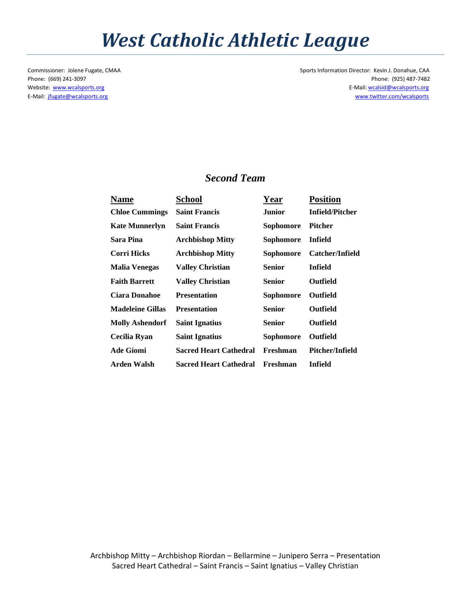## *West Catholic Athletic League*

Commissioner: Jolene Fugate, CMAA Sports Information Director: Kevin J. Donahue, CAA Phone: (669) 241-3097 Phone: (925) 487-7482 Website: [www.wcalsports.org](http://www.wcalsports.org/) examples and the example of the example of the E-Mail: wcalsid@wcalsports.org E-Mail: wcalsid@wcalsports.org E-Mail: [jfugate@wcalsports.org](mailto:jfugate@wcalsports.org) [www.twitter.com/wcalsports](http://www.twitter.com/wcalsports) 

#### *Second Team*

| <b>Name</b>             | School                        | Year          | <b>Position</b> |
|-------------------------|-------------------------------|---------------|-----------------|
| <b>Chloe Cummings</b>   | <b>Saint Francis</b>          | Junior        | Infield/Pitcher |
| <b>Kate Munnerlyn</b>   | <b>Saint Francis</b>          | Sophomore     | Pitcher         |
| Sara Pina               | <b>Archbishop Mitty</b>       | Sophomore     | Infield         |
| Corri Hicks             | <b>Archbishop Mitty</b>       | Sophomore     | Catcher/Infield |
| Malia Venegas           | Valley Christian              | Senior        | Infield         |
| <b>Faith Barrett</b>    | Vallev Christian              | Senior        | Outfield        |
| <b>Ciara Donahoe</b>    | <b>Presentation</b>           | Sophomore     | Outfield        |
| <b>Madeleine Gillas</b> | <b>Presentation</b>           | <b>Senior</b> | <b>Outfield</b> |
| <b>Molly Ashendorf</b>  | <b>Saint Ignatius</b>         | <b>Senior</b> | <b>Outfield</b> |
| Cecilia Ryan            | <b>Saint Ignatius</b>         | Sophomore     | Outfield        |
| <b>Ade Giomi</b>        | <b>Sacred Heart Cathedral</b> | Freshman      | Pitcher/Infield |
| Arden Walsh             | <b>Sacred Heart Cathedral</b> | Freshman      | Infield         |